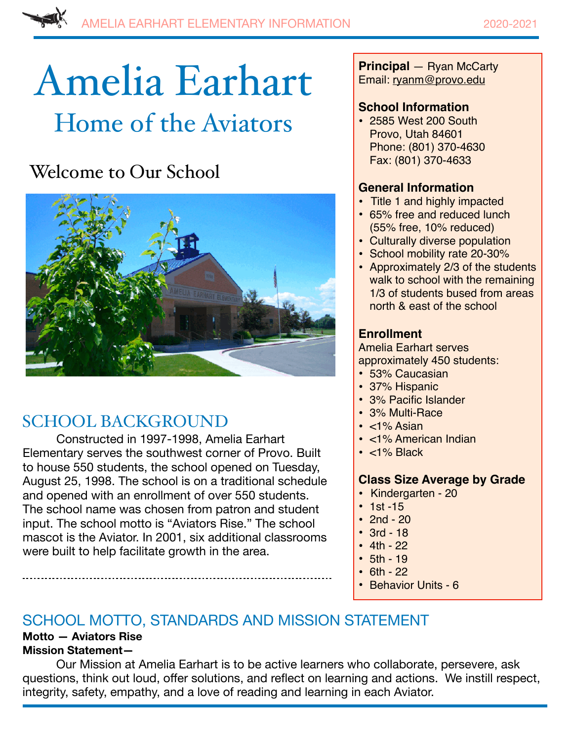# Amelia Earhart Home of the Aviators

# Welcome to Our School



## SCHOOL BACKGROUND

Constructed in 1997-1998, Amelia Earhart Elementary serves the southwest corner of Provo. Built to house 550 students, the school opened on Tuesday, August 25, 1998. The school is on a traditional schedule and opened with an enrollment of over 550 students. The school name was chosen from patron and student input. The school motto is "Aviators Rise." The school mascot is the Aviator. In 2001, six additional classrooms were built to help facilitate growth in the area.

**Principal** — Ryan McCarty Email: ryanm@provo.edu

### **School Information**

• 2585 West 200 South Provo, Utah 84601 Phone: (801) 370-4630 Fax: (801) 370-4633

### **General Information**

- Title 1 and highly impacted
- 65% free and reduced lunch (55% free, 10% reduced)
- Culturally diverse population
- School mobility rate 20-30%
- Approximately 2/3 of the students walk to school with the remaining 1/3 of students bused from areas north & east of the school

## **Enrollment**

Amelia Earhart serves approximately 450 students:

- 53% Caucasian
- 37% Hispanic
- 3% Pacific Islander
- 3% Multi-Race
- <1% Asian
- <1% American Indian
- <1% Black

#### **Class Size Average by Grade**

- **•** Kindergarten 20
- $1st 15$
- 2nd  $20$
- 3rd 18
- $4th 22$
- $5th 19$
- $6th 22$
- Behavior Units 6

## SCHOOL MOTTO, STANDARDS AND MISSION STATEMENT

#### **Motto — Aviators Rise Mission Statement—**

Our Mission at Amelia Earhart is to be active learners who collaborate, persevere, ask questions, think out loud, offer solutions, and reflect on learning and actions. We instill respect, integrity, safety, empathy, and a love of reading and learning in each Aviator.